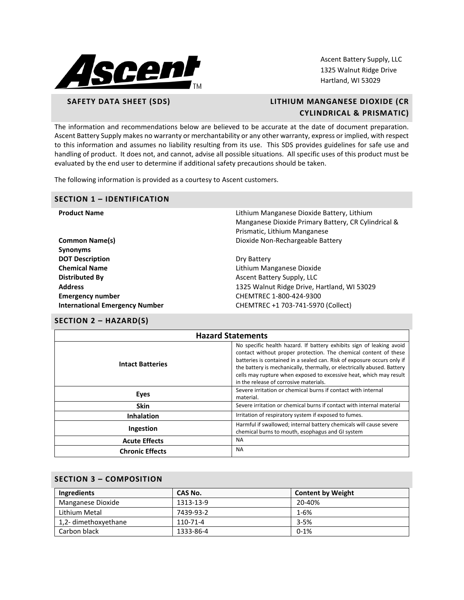

Ascent Battery Supply, LLC 1325 Walnut Ridge Drive Hartland, WI 53029

# **SAFETY DATA SHEET (SDS) LITHIUM MANGANESE DIOXIDE (CR CYLINDRICAL & PRISMATIC)**

The information and recommendations below are believed to be accurate at the date of document preparation. Ascent Battery Supply makes no warranty or merchantability or any other warranty, express or implied, with respect to this information and assumes no liability resulting from its use. This SDS provides guidelines for safe use and handling of product. It does not, and cannot, advise all possible situations. All specific uses of this product must be evaluated by the end user to determine if additional safety precautions should be taken.

The following information is provided as a courtesy to Ascent customers.

#### **SECTION 1 – IDENTIFICATION**

| <b>Product Name</b>                   | Lithium Manganese Dioxide Battery, Lithium<br>Manganese Dioxide Primary Battery, CR Cylindrical &<br>Prismatic, Lithium Manganese |
|---------------------------------------|-----------------------------------------------------------------------------------------------------------------------------------|
| <b>Common Name(s)</b>                 | Dioxide Non-Rechargeable Battery                                                                                                  |
| <b>Synonyms</b>                       |                                                                                                                                   |
| <b>DOT Description</b>                | Dry Battery                                                                                                                       |
| <b>Chemical Name</b>                  | Lithium Manganese Dioxide                                                                                                         |
| <b>Distributed By</b>                 | Ascent Battery Supply, LLC                                                                                                        |
| <b>Address</b>                        | 1325 Walnut Ridge Drive, Hartland, WI 53029                                                                                       |
| <b>Emergency number</b>               | CHEMTREC 1-800-424-9300                                                                                                           |
| <b>International Emergency Number</b> | CHEMTREC +1 703-741-5970 (Collect)                                                                                                |
|                                       |                                                                                                                                   |

# **SECTION 2 – HAZARD(S)**

| <b>Hazard Statements</b> |                                                                                                                                                                                                                                                                                                                                                                                                                |  |
|--------------------------|----------------------------------------------------------------------------------------------------------------------------------------------------------------------------------------------------------------------------------------------------------------------------------------------------------------------------------------------------------------------------------------------------------------|--|
| <b>Intact Batteries</b>  | No specific health hazard. If battery exhibits sign of leaking avoid<br>contact without proper protection. The chemical content of these<br>batteries is contained in a sealed can. Risk of exposure occurs only if<br>the battery is mechanically, thermally, or electrically abused. Battery<br>cells may rupture when exposed to excessive heat, which may result<br>in the release of corrosive materials. |  |
| Eyes                     | Severe irritation or chemical burns if contact with internal<br>material.                                                                                                                                                                                                                                                                                                                                      |  |
| <b>Skin</b>              | Severe irritation or chemical burns if contact with internal material                                                                                                                                                                                                                                                                                                                                          |  |
| <b>Inhalation</b>        | Irritation of respiratory system if exposed to fumes.                                                                                                                                                                                                                                                                                                                                                          |  |
| Ingestion                | Harmful if swallowed; internal battery chemicals will cause severe<br>chemical burns to mouth, esophagus and GI system                                                                                                                                                                                                                                                                                         |  |
| <b>Acute Effects</b>     | <b>NA</b>                                                                                                                                                                                                                                                                                                                                                                                                      |  |
| <b>Chronic Effects</b>   | <b>NA</b>                                                                                                                                                                                                                                                                                                                                                                                                      |  |

### **SECTION 3 – COMPOSITION**

| Ingredients          | CAS No.   | <b>Content by Weight</b> |  |
|----------------------|-----------|--------------------------|--|
| Manganese Dioxide    | 1313-13-9 | 20-40%                   |  |
| Lithium Metal        | 7439-93-2 | $1 - 6%$                 |  |
| 1,2- dimethoxyethane | 110-71-4  | $3 - 5%$                 |  |
| Carbon black         | 1333-86-4 | $0 - 1%$                 |  |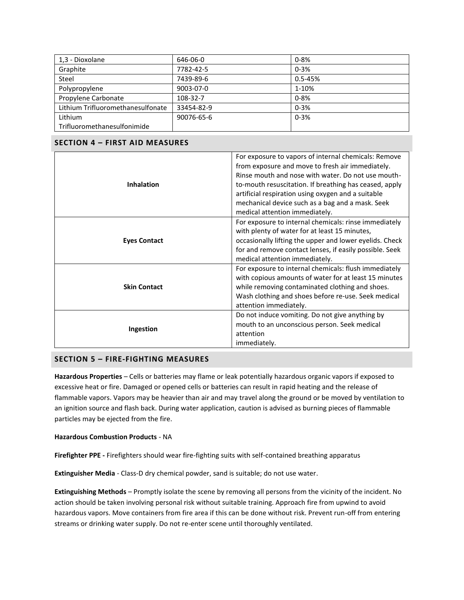| 1,3 - Dioxolane                   | 646-06-0   | $0 - 8%$    |
|-----------------------------------|------------|-------------|
| Graphite                          | 7782-42-5  | $0 - 3%$    |
| Steel                             | 7439-89-6  | $0.5 - 45%$ |
| Polypropylene                     | 9003-07-0  | 1-10%       |
| Propylene Carbonate               | 108-32-7   | $0 - 8%$    |
| Lithium Trifluoromethanesulfonate | 33454-82-9 | $0 - 3%$    |
| Lithium                           | 90076-65-6 | $0 - 3%$    |
| Trifluoromethanesulfonimide       |            |             |

## **SECTION 4 – FIRST AID MEASURES**

| <b>Inhalation</b>   | For exposure to vapors of internal chemicals: Remove<br>from exposure and move to fresh air immediately.<br>Rinse mouth and nose with water. Do not use mouth-<br>to-mouth resuscitation. If breathing has ceased, apply<br>artificial respiration using oxygen and a suitable<br>mechanical device such as a bag and a mask. Seek<br>medical attention immediately. |  |  |
|---------------------|----------------------------------------------------------------------------------------------------------------------------------------------------------------------------------------------------------------------------------------------------------------------------------------------------------------------------------------------------------------------|--|--|
| <b>Eyes Contact</b> | For exposure to internal chemicals: rinse immediately<br>with plenty of water for at least 15 minutes,<br>occasionally lifting the upper and lower eyelids. Check<br>for and remove contact lenses, if easily possible. Seek<br>medical attention immediately.                                                                                                       |  |  |
| <b>Skin Contact</b> | For exposure to internal chemicals: flush immediately<br>with copious amounts of water for at least 15 minutes<br>while removing contaminated clothing and shoes.<br>Wash clothing and shoes before re-use. Seek medical<br>attention immediately.                                                                                                                   |  |  |
| Ingestion           | Do not induce vomiting. Do not give anything by<br>mouth to an unconscious person. Seek medical<br>attention<br>immediately.                                                                                                                                                                                                                                         |  |  |

## **SECTION 5 – FIRE-FIGHTING MEASURES**

**Hazardous Properties** – Cells or batteries may flame or leak potentially hazardous organic vapors if exposed to excessive heat or fire. Damaged or opened cells or batteries can result in rapid heating and the release of flammable vapors. Vapors may be heavier than air and may travel along the ground or be moved by ventilation to an ignition source and flash back. During water application, caution is advised as burning pieces of flammable particles may be ejected from the fire.

#### **Hazardous Combustion Products** - NA

**Firefighter PPE -** Firefighters should wear fire-fighting suits with self-contained breathing apparatus

**Extinguisher Media** - Class-D dry chemical powder, sand is suitable; do not use water.

**Extinguishing Methods** – Promptly isolate the scene by removing all persons from the vicinity of the incident. No action should be taken involving personal risk without suitable training. Approach fire from upwind to avoid hazardous vapors. Move containers from fire area if this can be done without risk. Prevent run-off from entering streams or drinking water supply. Do not re-enter scene until thoroughly ventilated.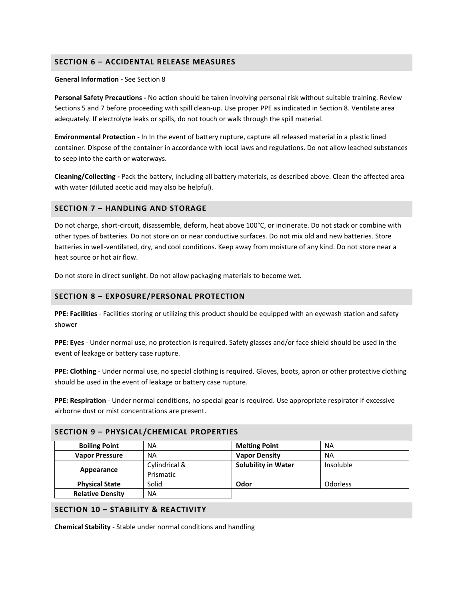## **SECTION 6 – ACCIDENTAL RELEASE MEASURES**

#### **General Information -** See Section 8

**Personal Safety Precautions -** No action should be taken involving personal risk without suitable training. Review Sections 5 and 7 before proceeding with spill clean-up. Use proper PPE as indicated in Section 8. Ventilate area adequately. If electrolyte leaks or spills, do not touch or walk through the spill material.

**Environmental Protection -** In In the event of battery rupture, capture all released material in a plastic lined container. Dispose of the container in accordance with local laws and regulations. Do not allow leached substances to seep into the earth or waterways.

**Cleaning/Collecting -** Pack the battery, including all battery materials, as described above. Clean the affected area with water (diluted acetic acid may also be helpful).

## **SECTION 7 – HANDLING AND STORAGE**

Do not charge, short-circuit, disassemble, deform, heat above 100°C, or incinerate. Do not stack or combine with other types of batteries. Do not store on or near conductive surfaces. Do not mix old and new batteries. Store batteries in well-ventilated, dry, and cool conditions. Keep away from moisture of any kind. Do not store near a heat source or hot air flow.

Do not store in direct sunlight. Do not allow packaging materials to become wet.

### **SECTION 8 – EXPOSURE/PERSONAL PROTECTION**

**PPE: Facilities** - Facilities storing or utilizing this product should be equipped with an eyewash station and safety shower

**PPE: Eyes** - Under normal use, no protection is required. Safety glasses and/or face shield should be used in the event of leakage or battery case rupture.

**PPE: Clothing** - Under normal use, no special clothing is required. Gloves, boots, apron or other protective clothing should be used in the event of leakage or battery case rupture.

**PPE: Respiration** - Under normal conditions, no special gear is required. Use appropriate respirator if excessive airborne dust or mist concentrations are present.

| <b>Boiling Point</b>    | <b>NA</b>                  | <b>Melting Point</b>       | NA              |
|-------------------------|----------------------------|----------------------------|-----------------|
| <b>Vapor Pressure</b>   | <b>NA</b>                  | <b>Vapor Density</b>       | <b>NA</b>       |
| Appearance              | Cylindrical &<br>Prismatic | <b>Solubility in Water</b> | Insoluble       |
| <b>Physical State</b>   | Solid                      | Odor                       | <b>Odorless</b> |
| <b>Relative Density</b> | <b>NA</b>                  |                            |                 |

#### **SECTION 9 – PHYSICAL/CHEMICAL PROPERTIES**

#### **SECTION 10 – STABILITY & REACTIVITY**

**Chemical Stability** - Stable under normal conditions and handling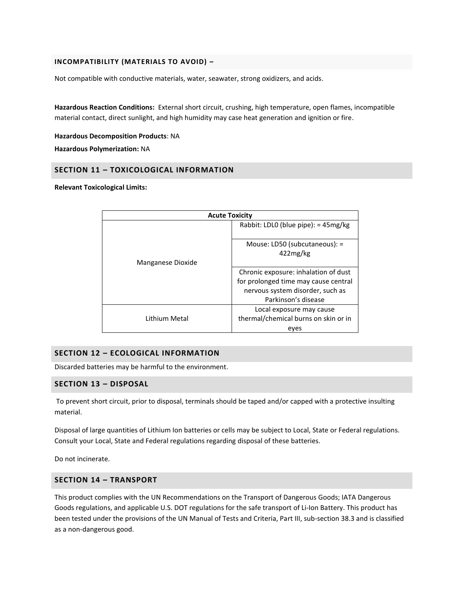#### **INCOMPATIBILITY (MATERIALS TO AVOID) –**

Not compatible with conductive materials, water, seawater, strong oxidizers, and acids.

**Hazardous Reaction Conditions:** External short circuit, crushing, high temperature, open flames, incompatible material contact, direct sunlight, and high humidity may case heat generation and ignition or fire.

**Hazardous Decomposition Products**: NA

**Hazardous Polymerization:** NA

## **SECTION 11 – TOXICOLOGICAL INFORMATION**

**Relevant Toxicological Limits:**

| <b>Acute Toxicity</b> |                                                                                                                                         |  |
|-----------------------|-----------------------------------------------------------------------------------------------------------------------------------------|--|
|                       | Rabbit: LDLO (blue pipe): $=$ 45mg/kg                                                                                                   |  |
| Manganese Dioxide     | Mouse: LD50 (subcutaneous): =<br>422mg/kg                                                                                               |  |
|                       | Chronic exposure: inhalation of dust<br>for prolonged time may cause central<br>nervous system disorder, such as<br>Parkinson's disease |  |
| Lithium Metal         | Local exposure may cause<br>thermal/chemical burns on skin or in<br>eyes                                                                |  |

## **SECTION 12 – ECOLOGICAL INFORMATION**

Discarded batteries may be harmful to the environment.

#### **SECTION 13 – DISPOSAL**

To prevent short circuit, prior to disposal, terminals should be taped and/or capped with a protective insulting material.

Disposal of large quantities of Lithium Ion batteries or cells may be subject to Local, State or Federal regulations. Consult your Local, State and Federal regulations regarding disposal of these batteries.

Do not incinerate.

## **SECTION 14 – TRANSPORT**

This product complies with the UN Recommendations on the Transport of Dangerous Goods; IATA Dangerous Goods regulations, and applicable U.S. DOT regulations for the safe transport of Li-Ion Battery. This product has been tested under the provisions of the UN Manual of Tests and Criteria, Part III, sub-section 38.3 and is classified as a non-dangerous good.